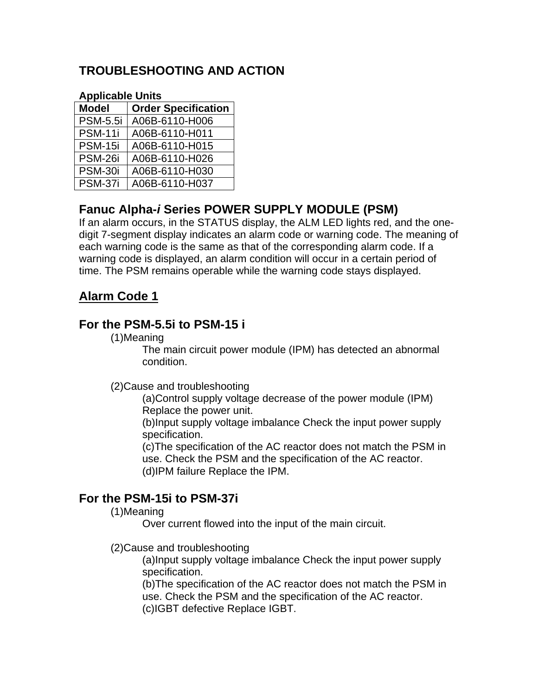# **TROUBLESHOOTING AND ACTION**

#### **Applicable Units**

| <b>Model</b>    | <b>Order Specification</b> |
|-----------------|----------------------------|
| <b>PSM-5.5i</b> | A06B-6110-H006             |
| <b>PSM-11i</b>  | A06B-6110-H011             |
| <b>PSM-15i</b>  | A06B-6110-H015             |
| <b>PSM-26i</b>  | A06B-6110-H026             |
| <b>PSM-30i</b>  | A06B-6110-H030             |
| PSM-37i         | A06B-6110-H037             |

# **Fanuc Alpha-***i* **Series POWER SUPPLY MODULE (PSM)**

If an alarm occurs, in the STATUS display, the ALM LED lights red, and the onedigit 7-segment display indicates an alarm code or warning code. The meaning of each warning code is the same as that of the corresponding alarm code. If a warning code is displayed, an alarm condition will occur in a certain period of time. The PSM remains operable while the warning code stays displayed.

## **Alarm Code 1**

## **For the PSM-5.5i to PSM-15 i**

(1)Meaning

The main circuit power module (IPM) has detected an abnormal condition.

#### (2)Cause and troubleshooting

(a)Control supply voltage decrease of the power module (IPM) Replace the power unit.

(b)Input supply voltage imbalance Check the input power supply specification.

(c)The specification of the AC reactor does not match the PSM in use. Check the PSM and the specification of the AC reactor. (d)IPM failure Replace the IPM.

## **For the PSM-15i to PSM-37i**

#### (1)Meaning

Over current flowed into the input of the main circuit.

(2)Cause and troubleshooting

(a)Input supply voltage imbalance Check the input power supply specification.

(b)The specification of the AC reactor does not match the PSM in use. Check the PSM and the specification of the AC reactor. (c)IGBT defective Replace IGBT.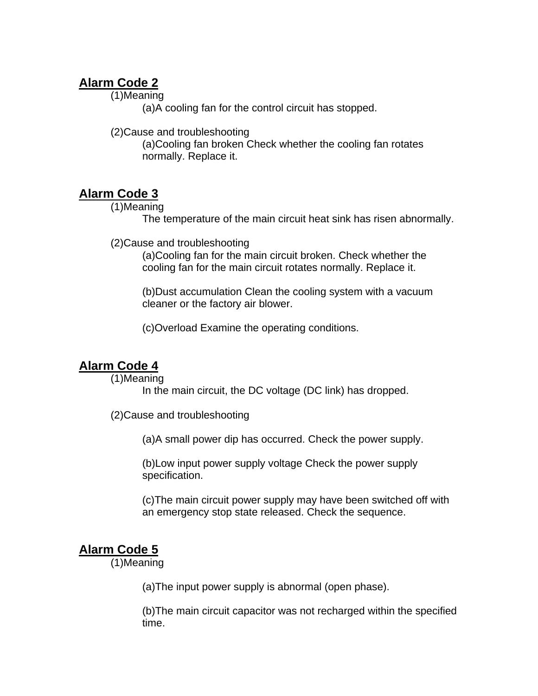## **Alarm Code 2**

(1)Meaning

(a)A cooling fan for the control circuit has stopped.

(2)Cause and troubleshooting

(a)Cooling fan broken Check whether the cooling fan rotates normally. Replace it.

## **Alarm Code 3**

(1)Meaning

The temperature of the main circuit heat sink has risen abnormally.

(2)Cause and troubleshooting

(a)Cooling fan for the main circuit broken. Check whether the cooling fan for the main circuit rotates normally. Replace it.

(b)Dust accumulation Clean the cooling system with a vacuum cleaner or the factory air blower.

(c)Overload Examine the operating conditions.

## **Alarm Code 4**

(1)Meaning

In the main circuit, the DC voltage (DC link) has dropped.

(2)Cause and troubleshooting

(a)A small power dip has occurred. Check the power supply.

(b)Low input power supply voltage Check the power supply specification.

(c)The main circuit power supply may have been switched off with an emergency stop state released. Check the sequence.

## **Alarm Code 5**

(1)Meaning

(a)The input power supply is abnormal (open phase).

(b)The main circuit capacitor was not recharged within the specified time.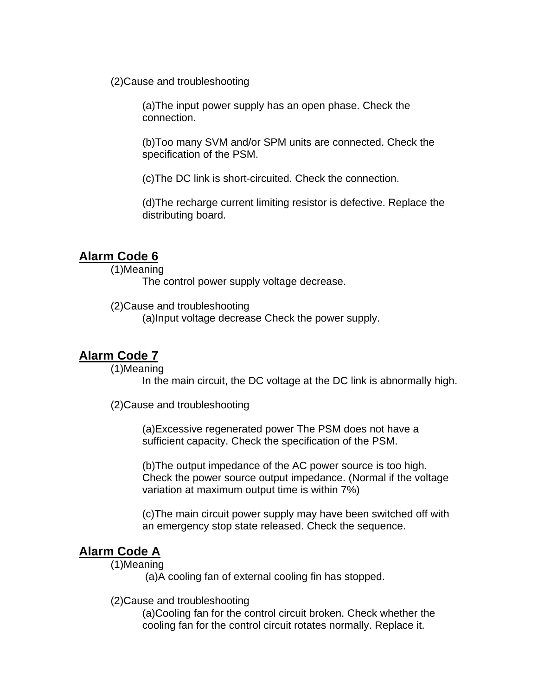(2)Cause and troubleshooting

(a)The input power supply has an open phase. Check the connection.

(b)Too many SVM and/or SPM units are connected. Check the specification of the PSM.

(c)The DC link is short-circuited. Check the connection.

(d)The recharge current limiting resistor is defective. Replace the distributing board.

#### **Alarm Code 6**

(1)Meaning

The control power supply voltage decrease.

(2)Cause and troubleshooting

(a)Input voltage decrease Check the power supply.

#### **Alarm Code 7**

(1)Meaning

In the main circuit, the DC voltage at the DC link is abnormally high.

(2)Cause and troubleshooting

(a)Excessive regenerated power The PSM does not have a sufficient capacity. Check the specification of the PSM.

(b)The output impedance of the AC power source is too high. Check the power source output impedance. (Normal if the voltage variation at maximum output time is within 7%)

(c)The main circuit power supply may have been switched off with an emergency stop state released. Check the sequence.

#### **Alarm Code A**

(1)Meaning

(a)A cooling fan of external cooling fin has stopped.

(2)Cause and troubleshooting

(a)Cooling fan for the control circuit broken. Check whether the cooling fan for the control circuit rotates normally. Replace it.